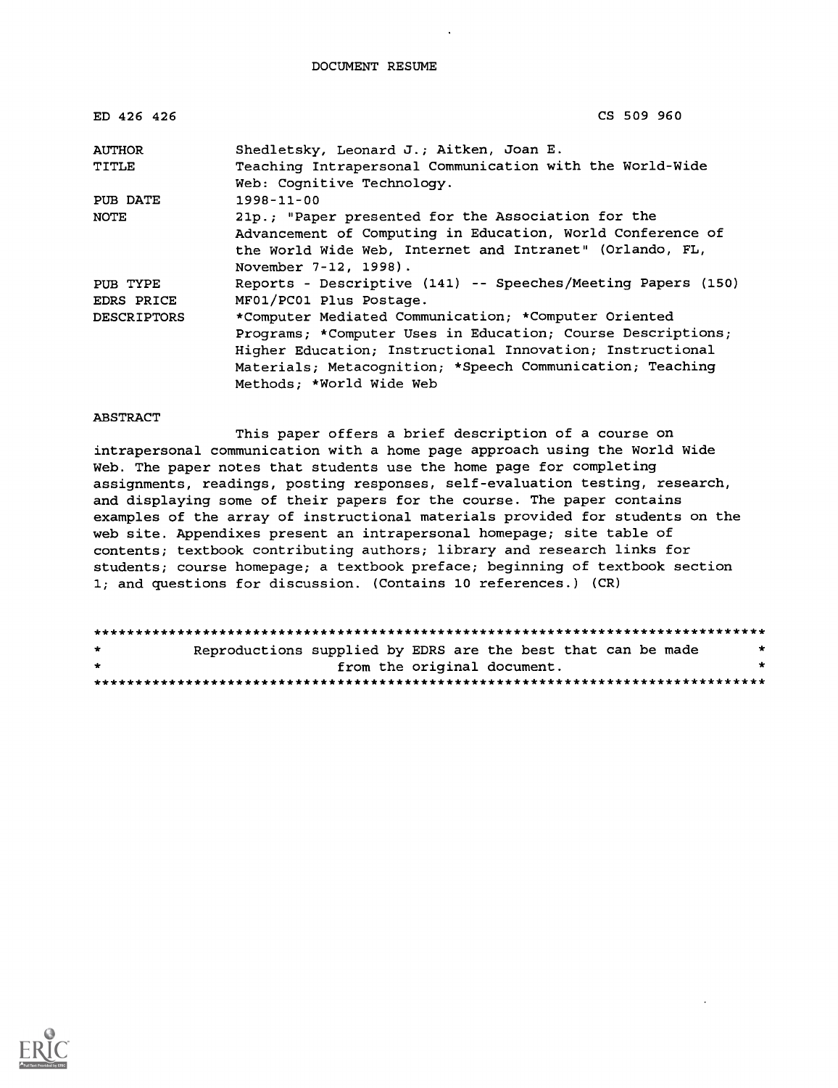DOCUMENT RESUME

| ED 426 426         | CS 509 960                                                                             |
|--------------------|----------------------------------------------------------------------------------------|
| AUTHOR             | Shedletsky, Leonard J.; Aitken, Joan E.                                                |
| TITLE              | Teaching Intrapersonal Communication with the World-Wide<br>Web: Cognitive Technology. |
| PUB DATE           | $1998 - 11 - 00$                                                                       |
| NOTE               | 21p.; "Paper presented for the Association for the                                     |
|                    | Advancement of Computing in Education, World Conference of                             |
|                    | the World Wide Web, Internet and Intranet" (Orlando, FL,                               |
|                    | November 7-12, 1998).                                                                  |
| PUB TYPE           | Reports - Descriptive (141) -- Speeches/Meeting Papers (150)                           |
| EDRS PRICE         | MF01/PC01 Plus Postage.                                                                |
| <b>DESCRIPTORS</b> | *Computer Mediated Communication; *Computer Oriented                                   |
|                    | Programs; *Computer Uses in Education; Course Descriptions;                            |
|                    | Higher Education; Instructional Innovation; Instructional                              |
|                    | Materials; Metacognition; *Speech Communication; Teaching                              |
|                    | Methods; *World Wide Web                                                               |

#### ABSTRACT

This paper offers a brief description of a course on intrapersonal communication with a home page approach using the World Wide Web. The paper notes that students use the home page for completing assignments, readings, posting responses, self-evaluation testing, research, and displaying some of their papers for the course. The paper contains examples of the array of instructional materials provided for students on the web site. Appendixes present an intrapersonal homepage; site table of contents; textbook contributing authors; library and research links for students; course homepage; a textbook preface; beginning of textbook section 1; and questions for discussion. (Contains 10 references.) (CR)

| $\mathbf{r}$ | Reproductions supplied by EDRS are the best that can be made |                             |  |  | * |  |
|--------------|--------------------------------------------------------------|-----------------------------|--|--|---|--|
| $\star$      |                                                              | from the original document. |  |  | * |  |
|              |                                                              |                             |  |  |   |  |

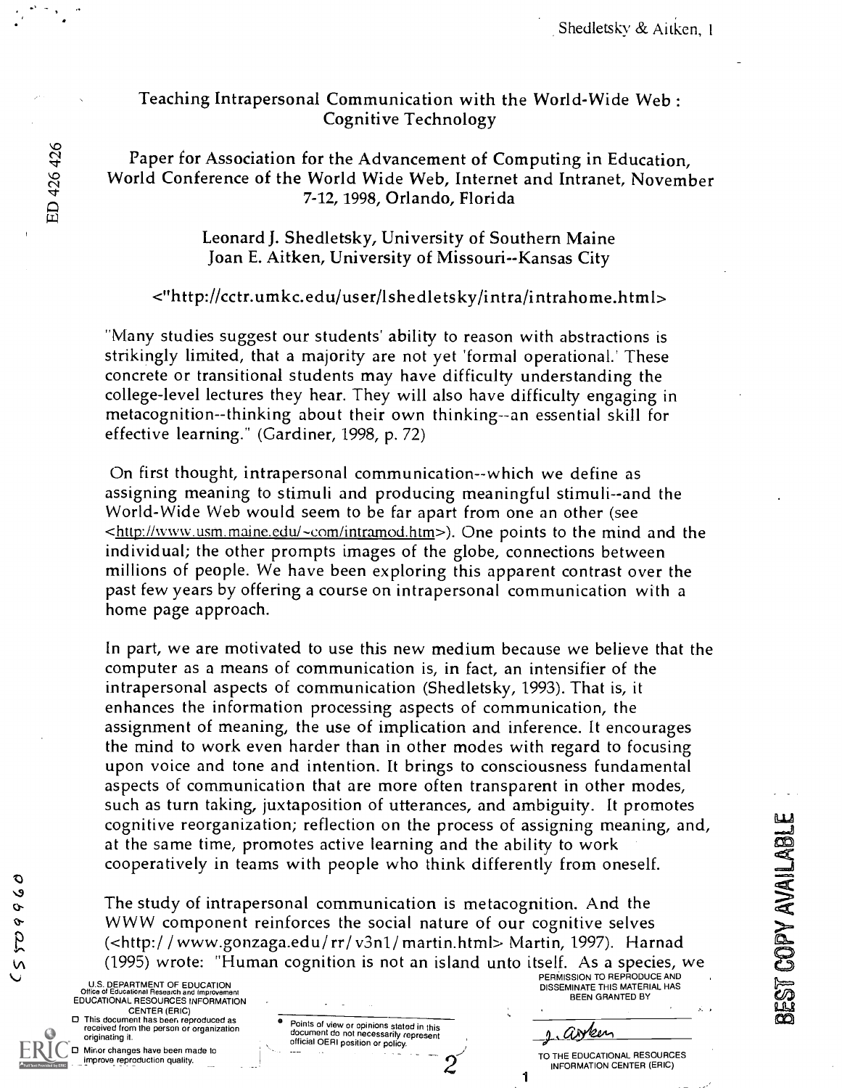Shedletsky & Aitken, I

# Teaching Intrapersonal Communication with the World-Wide Web : Cognitive Technology

Paper for Association for the Advancement of Computing in Education,<br>World Conference of the World Wide Web, Internet and Intranet, November<br>7-12, 1998, Orlando, Florida 7-12, 1998, Orlando, Florida

> Leonard J. Shedletsky, University of Southern Maine Joan E. Aitken, University of Missouri--Kansas City

#### <"http://cctr.umkc.edu/user/lshedletsky/intra/intrahome.html>

"Many studies suggest our students' ability to reason with abstractions is strikingly limited, that a majority are not yet 'formal operational.' These concrete or transitional students may have difficulty understanding the college-level lectures they hear. They will also have difficulty engaging in metacognition--thinking about their own thinking--an essential skill for effective learning." (Gardiner, 1998, p. 72)

On first thought, intrapersonal communication--which we define as assigning meaning to stimuli and producing meaningful stimuli--and the World-Wide Web would seem to be far apart from one an other (see <http://www.usm.maine.edul-com/intramod.htm>). One points to the mind and the individual; the other prompts images of the globe, connections between millions of people. We have been exploring this apparent contrast over the past few years by offering a course on intrapersonal communication with a home page approach.

In part, we are motivated to use this new medium because we believe that the computer as a means of communication is, in fact, an intensifier of the intrapersonal aspects of communication (Shedletsky, 1993). That is, it enhances the information processing aspects of communication, the assignment of meaning, the use of implication and inference. It encourages the mind to work even harder than in other modes with regard to focusing upon voice and tone and intention. It brings to consciousness fundamental aspects of communication that are more often transparent in other modes, such as turn taking, juxtaposition of utterances, and ambiguity. It promotes cognitive reorganization; reflection on the process of assigning meaning, and, at the same time, promotes active learning and the ability to work cooperatively in teams with people who think differently from oneself.

The study of intrapersonal communication is metacognition. And the WWW component reinforces the social nature of our cognitive selves (<http:/ / www.gonzaga.edu/rr/ v3n1/ martin.html> Martin, 1997). Harnad Cognitive reorganization; reflection on the process of assigning meaning, and,<br>at the same time, promotes active learning and the ability to work<br>cooperatively in teams with people who think differently from oneself.<br>The

U.S. DEPARTMENT OF EDUCATION<br>Office of Educational Research and Improveme EDUCATIONAL RESOURCES INFORMATION CENTER (ERIC) 0 This document has been reproduced as received from the person or organization originating it.

0 Minor changes have been made to improve reproduction quality.

 $\circ$  $\mathbf{v}$  $\sigma$ 

 $625$ 

**V** 

| ٠        | Points of view or opinions stated in this<br>document do not necessarily represent<br>official OERI position or policy. |  |
|----------|-------------------------------------------------------------------------------------------------------------------------|--|
| $\alpha$ |                                                                                                                         |  |

PERMISSION TO REPRODUCE AND<br>DISSEMINATE THIS MATERIAL HAS<br>BEEN GRANTED BY

arken

1

TO THE EDUCATIONAL RESOURCES INFORMATION CENTER (ERIC)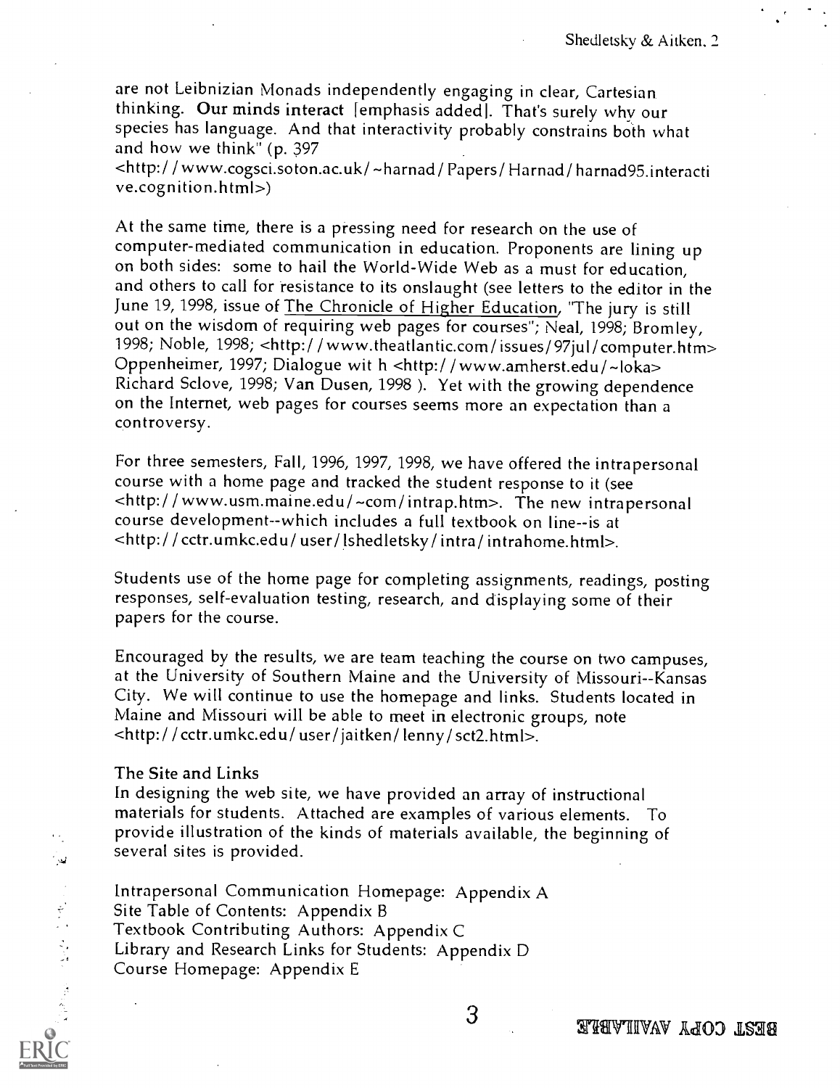are not Leibnizian Monads independently engaging in clear, Cartesian thinking. Our minds interact [emphasis added]. That's surely why our species has language. And that interactivity probably constrains both what and how we think" (p. 397

<http:/ / www.cogsci.soton.ac.uk/ -harnad/ Papers/ Hamad/ harnad95.interacti ve.cognition.html>)

At the same time, there is a pressing need for research on the use of computer-mediated communication in education. Proponents are lining up on both sides: some to hail the World-Wide Web as a must for education, and others to call for resistance to its onslaught (see letters to the editor in the June 19, 1998, issue of The Chronicle of Higher Education, "The jury is still out on the wisdom of requiring web pages for courses"; Neal, 1998; Bromley, 1998; Noble, 1998; <http:/ / www.theatlantic.com/ issues/ 97ju1/ computer.htm> Oppenheimer, 1997; Dialogue wit h <http://www.amherst.edu/~loka> Richard Sclove, 1998; Van Dusen, 1998 ). Yet with the growing dependence on the Internet, web pages for courses seems more an expectation than a controversy.

For three semesters, Fall, 1996, 1997, 1998, we have offered the intrapersonal course with a home page and tracked the student response to it (see <http:/ / www.usm.maine.edu/-com/intrap.htm>. The new intrapersonal course development-which includes a full textbook on line--is at <http: / / cctr.umkc.edu/ user/ lshedletsky/ intra/ intrahome.html>.

Students use of the home page for completing assignments, readings, posting responses, self-evaluation testing, research, and displaying some of their papers for the course.

Encouraged by the results, we are team teaching the course on two campuses, at the University of Southern Maine and the University of Missouri--Kansas City. We will continue to use the homepage and links. Students located in Maine and Missouri will be able to meet in electronic groups, note <http: / / cctr.umkc.edu/ user/ jaitken/ lenny/ sct2.html>.

#### The Site and Links

يين:

中心 医神经病

In designing the web site, we have provided an array of instructional materials for students. Attached are examples of various elements. To provide illustration of the kinds of materials available, the beginning of several sites is provided.

Intrapersonal Communication Homepage: Appendix A Site Table of Contents: Appendix B Textbook Contributing Authors: Appendix C Library and Research Links for Students: Appendix D Course Homepage: Appendix E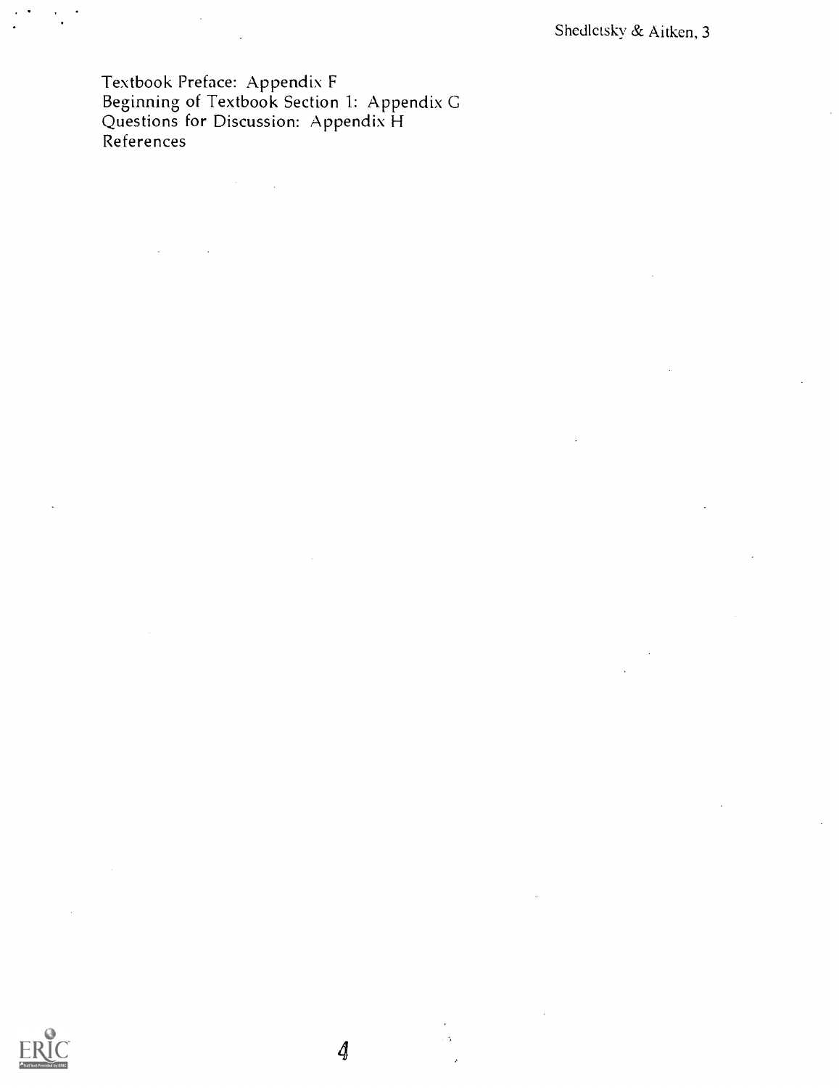Textbook Preface: Appendix F Beginning of Textbook Section 1: Appendix G Questions for Discussion: Appendix H References



 $\oint$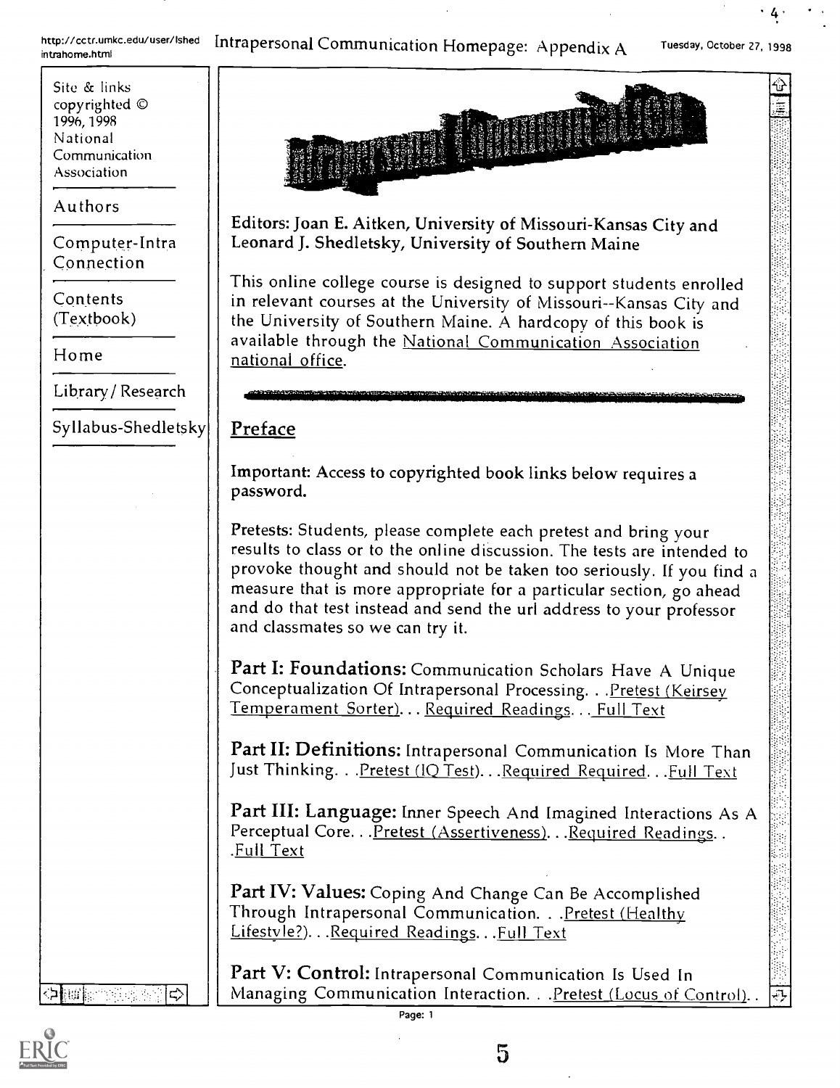http://cctr.umkc.edu/user/Ished http://cctr.umkc.edu/user/Ished Intrapersonal Communication Homepage: Appendix A

Tuesday, October 27, 1998

4.

⇧ ≣

Site & links copyrighted © 1996, 1998 National Communication Association

Authors

Computer-Intra Connection

Contents (Textbook)

Home

Library/ Research

Syllabus-Shedletsky

Editors: Joan E. Aitken, University of Missouri-Kansas City and Leonard J. Shedletsky, University of Southern Maine

This online college course is designed to support students enrolled in relevant courses at the University of Missouri--Kansas City and the University of Southern Maine. A hardcopy of this book is available through the National Communication Association national office.

## Preface

Important: Access to copyrighted book links below requires a password.

Pretests: Students, please complete each pretest and bring your results to class or to the online discussion. The tests are intended to provoke thought and should not be taken too seriously. If you find a measure that is more appropriate for a particular section, go ahead and do that test instead and send the url address to your professor and classmates so we can try it.

Part I: Foundations: Communication Scholars Have A Unique Conceptualization Of Intrapersonal Processing. . . Pretest (Keirsey Temperament Sorter)... Required Readings... Full Text

Part II: Definitions: Intrapersonal Communication Is More Than Just Thinking. . . Pretest (IQ Test). . . Required Required. . . Full Text

Part III: Language: Inner Speech And Imagined Interactions As A Perceptual Core...Pretest (Assertiveness)...Required Readings.. .Full Text

Part IV: Values: Coping And Change Can Be Accomplished Through Intrapersonal Communication. . . Pretest (Healthy Lifestyle?). . . Required Readings. . . Full Text

Part V: Control: Intrapersonal Communication Is Used In Managing Communication Interaction. . . Pretest (Locus of Control)..



amis Service Service

l¢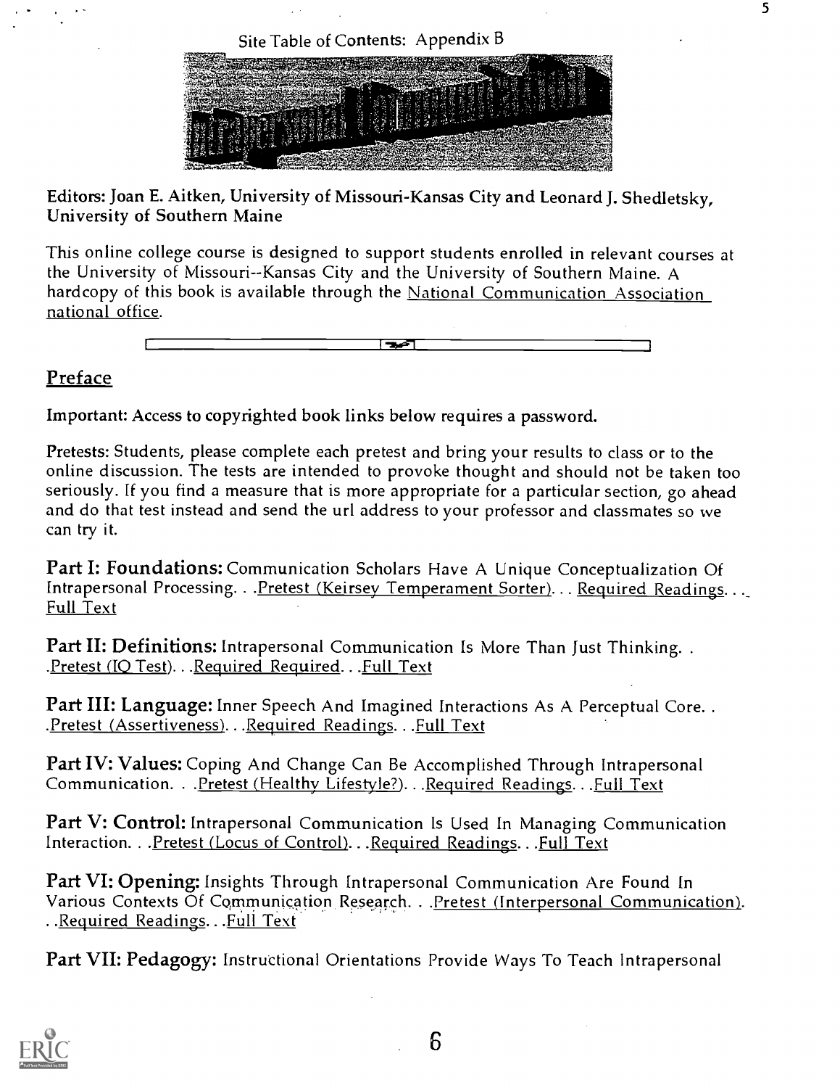Site Table of Contents: Appendix B



5

Editors: Joan E. Aitken, University of Missouri-Kansas City and Leonard J. Shedletsky, University of Southern Maine

This online college course is designed to support students enrolled in relevant courses at the University of Missouri--Kansas City and the University of Southern Maine. A hardcopy of this book is available through the National Communication Association national office.

च्च

## **Preface**

Important: Access to copyrighted book links below requires a password.

Pretests: Students, please complete each pretest and bring your results to class or to the online discussion. The tests are intended to provoke thought and should not be taken too seriously. ff you find a measure that is more appropriate for a particular section, go ahead and do that test instead and send the url address to your professor and classmates so we can try it.

Part I: Foundations: Communication Scholars Have A Unique Conceptualization Of Intrapersonal Processing. . . Pretest (Keirsey Temperament Sorter). . . Required Readings. . . Full Text

Part II: Definitions: Intrapersonal Communication Is More Than Just Thinking...<br>Pretest (IQ Test)...Required Required...Full Text.

Part III: Language: Inner Speech And Imagined Interactions As A Perceptual Core.. .Pretest (Assertiveness)...Required Readings...Full Text

Part IV: Values: Coping And Change Can Be Accomplished Through Intrapersonal Communication. . . Pretest (Healthy Lifestyle?). . . Required Readings. . . Full Text

Part V: Control: Intrapersonal Communication Is Used In Managing Communication Interaction. . . Pretest (Locus of Control). . . Required Readings. . . Full Text

Part VI: Opening: Insights Through Intrapersonal Communication Are Found In Various Contexts Of Communication Research. . . Pretest (Interpersonal Communication). . Required Readings. . Full Text

Part VII: Pedagogy: Instructional Orientations Provide Ways To Teach Intrapersonal

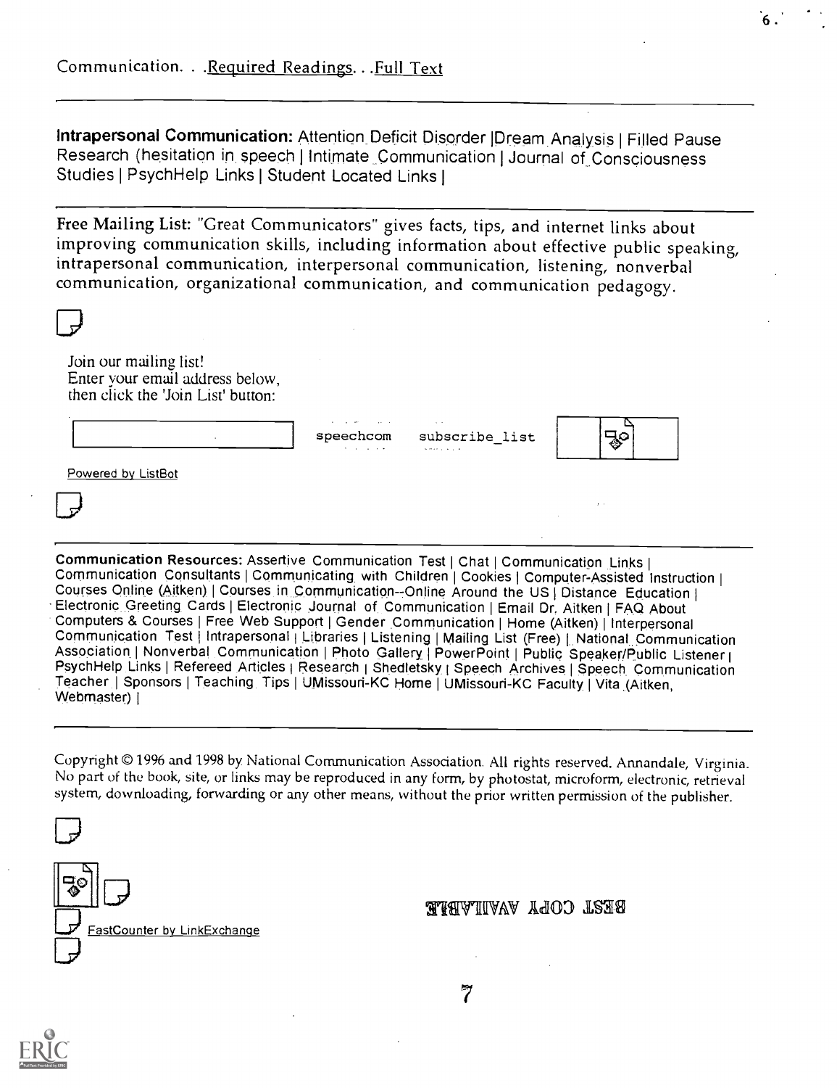Intrapersonal Communication: Attention Deficit Disorder |Dream Analysis | Filled Pause Research (hesitation in speech I Intimate Communication I Journal of Consciousness Studies I Psych Help Links I Student Located Links I

6 .

Free Mailing List: "Great Communicators" gives facts, tips, and internet links about improving communication skills, including information about effective public speaking, intrapersonal communication, interpersonal communication, listening, nonverbal communication, organizational communication, and communication pedagogy.

| Join our mailing list!                                                                                     |          |
|------------------------------------------------------------------------------------------------------------|----------|
| Enter your email address below,<br>then click the 'Join List' button:<br>and the control of the control of |          |
| speechcom subscribe_list<br>All contracts of<br>and the second control of<br>Powered by ListBot            |          |
|                                                                                                            | $\cdots$ |

Communication Resources: Assertive Communication Test | Chat | Communication Links |<br>Communication Consultants | Communicating with Children | Cookies | Computer-Assisted Instruction | Courses Online (Aitken) | Courses in Communication--Online Around the US | Distance Education | Electronic Greeting Cards | Electronic Journal of Communication | Email Dr. Aitken | FAQ About Computers & Courses | Free Web Support | Gender Communication | Home (Aitken) | Interpersonal Communication Test | Intrapersonal | Libraries | Listening | Mailing List (Free) | National Communication Association | Nonverbal Communication | Photo Gallery | PowerPoint | Public Speaker/Public Listener | Psych Help Links I Refereed Articles i Research i Shedletsky, I Speech Archives I Speech Communication Teacher | Sponsors | Teaching Tips | UMissouri-KC Home | UMissouri-KC Faculty | Vita (Aitken, Webmaster) |

Copyright © 1996 and 1998 by. National Communication Association. All rights reserved. Annandale, Virginia. No part of the book, site, or links may be reproduced in any form, by photostat, microform, electronic, retrieval system, downloading, forwarding or any other means, without the prior written permission of the publisher.



## WARWAW WANTYAFR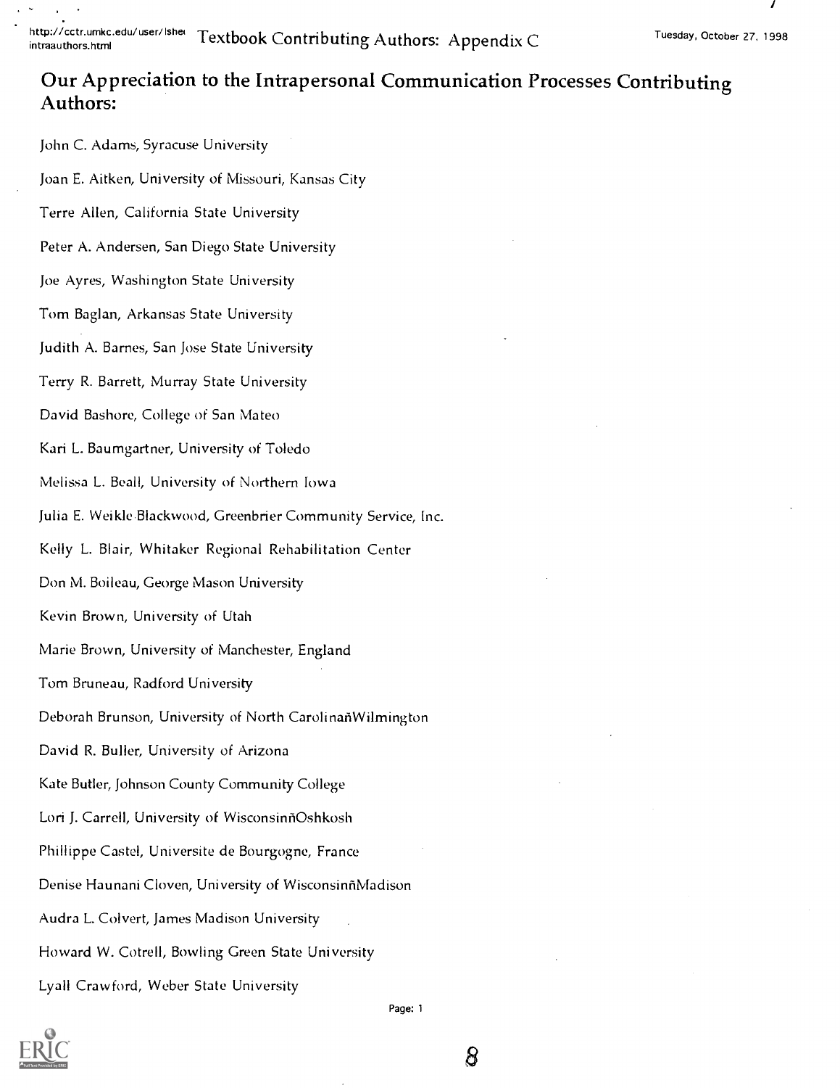http://cctr.umkc.edu/user/Ishei Textbook Contributing Authors: Appendix C

# Our Appreciation to the Intrapersonal Communication Processes Contributing Authors:

John C. Adams, Syracuse University Joan E. Aitken, University of Missouri, Kansas City Terre Allen, California State University Peter A. Andersen, San Diego State University Joe Ayres, Washington State University Tom Baglan, Arkansas State University Judith A. Barnes, San Jose State University Terry R. Barrett, Murray State University David Bashore, College of San Mateo Kari L. Baumgartner, University of Toledo Melissa L. Beall, University of Northern Iowa Julia E. Weikle,Blackwood, Greenbrier Community Service, Inc. Kelly L. Blair, Whitaker Regional Rehabilitation Center Don M. Boileau, George Mason University Kevin Brown, University of Utah Marie Brown, University of Manchester, England Tom Bruneau, Radford University Deborah Brunson, University of North CarolinanWilmington David R. Buller, University of Arizona Kate Butler, Johnson County Community College Lori J. Carrell, University of WisconsinñOshkosh Phillippe Castel, Universite de Bourgogne, France Denise Haunani Cloven, University of WisconsinfiMadison Audra L. Colvert, James Madison University Howard W. Cotrell, Bowling Green State University Lyall Crawford, Weber State University



Page: 1

8

Tuesday, October 27, 1998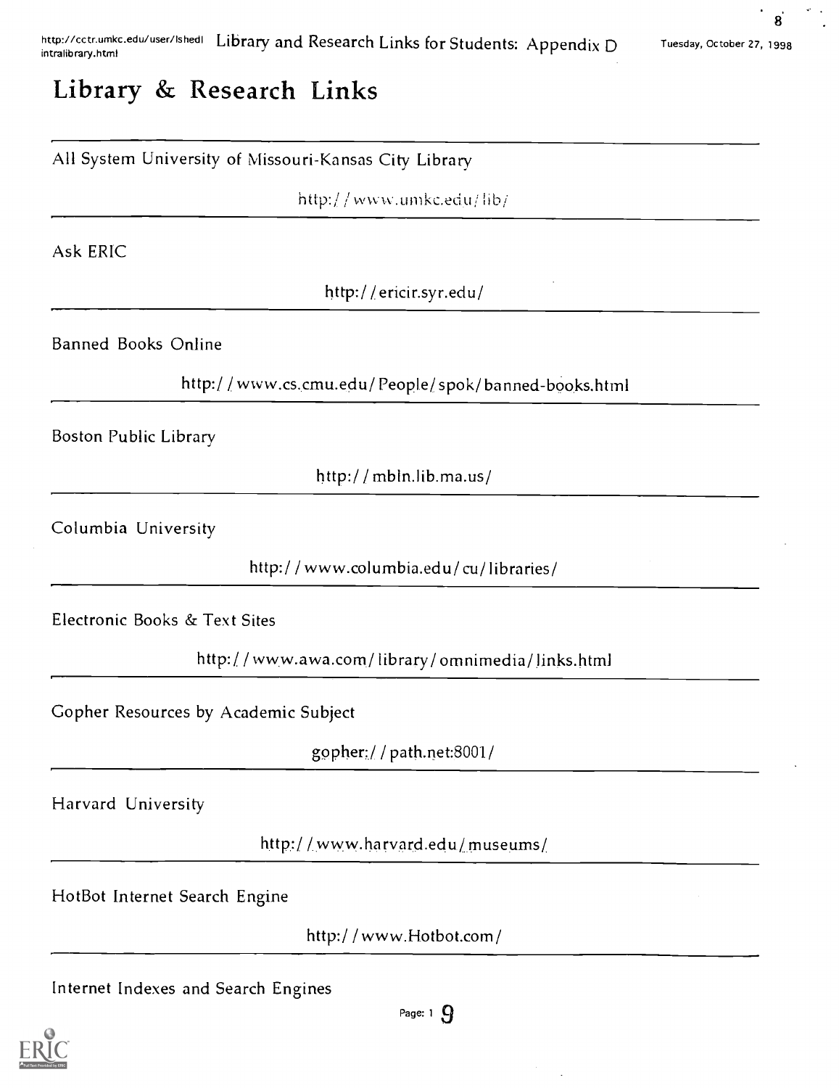8'

# Library & Research Links

## All System University of Missouri-Kansas City Library

http://www.umkc.edu/lib/

Ask ERIC

http:/ /ericinsyr.edu/

Banned Books Online

http://www.cs.cmu.edu/People/spok/banned-books.html

Boston Public Library

http:/ / mbln.lib.ma.us/

Columbia University

http:/ / www.columbia.edu/ cu/ libraries/

Electronic Books & Text Sites

http://www.awa.com/library/omnimedia/links.html

Gopher Resources by Academic Subject

gopher://path.net:8001/

Harvard University

http://www.harvard.edu/museums/

HotBot Internet Search Engine

http:/ / www.Hotbot.com/

Internet Indexes and Search Engines



Page:  $1 \Omega$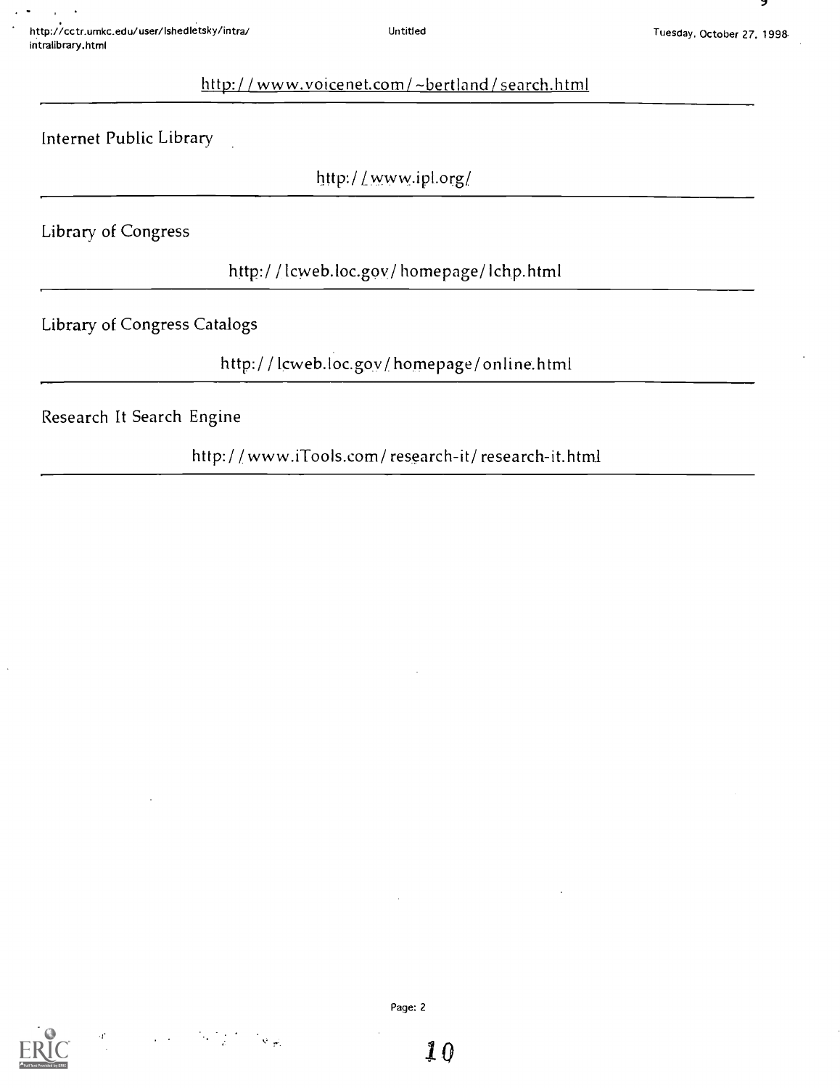7

## http://www.voicenet.com/~bertland/search.html

Internet Public Library

http:/ / www.ipl.org/

Library of Congress

http:/ / lcweb.loc.goy/ homepage/ Ichp.html

Library of Congress Catalogs

http:/ / lcweb.loc.gov/ homepage/ online.html

Research It Search Engine

http:/ / www.iTools.com/ research-it/ research-it.html

Page: 2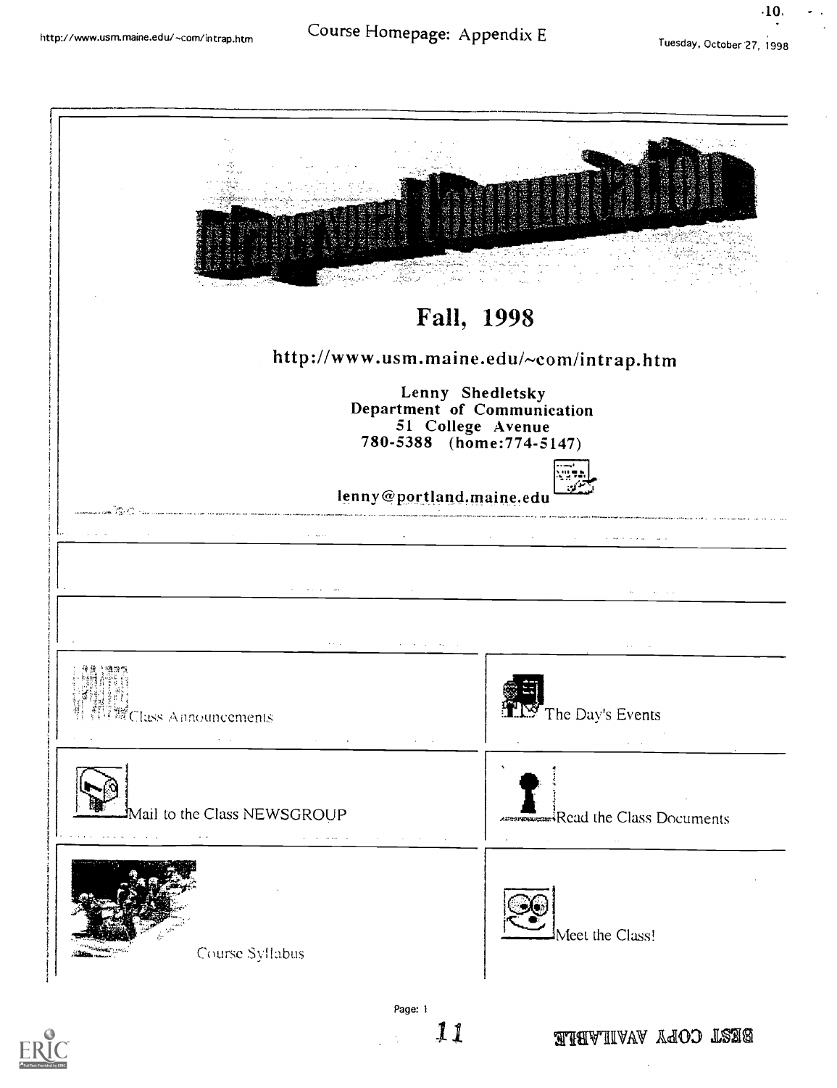# http://www.usm.maine.edu/~com/intrap.htm Course Homepage: Appendix E

.10,



11

ariarvillvav Adob LSES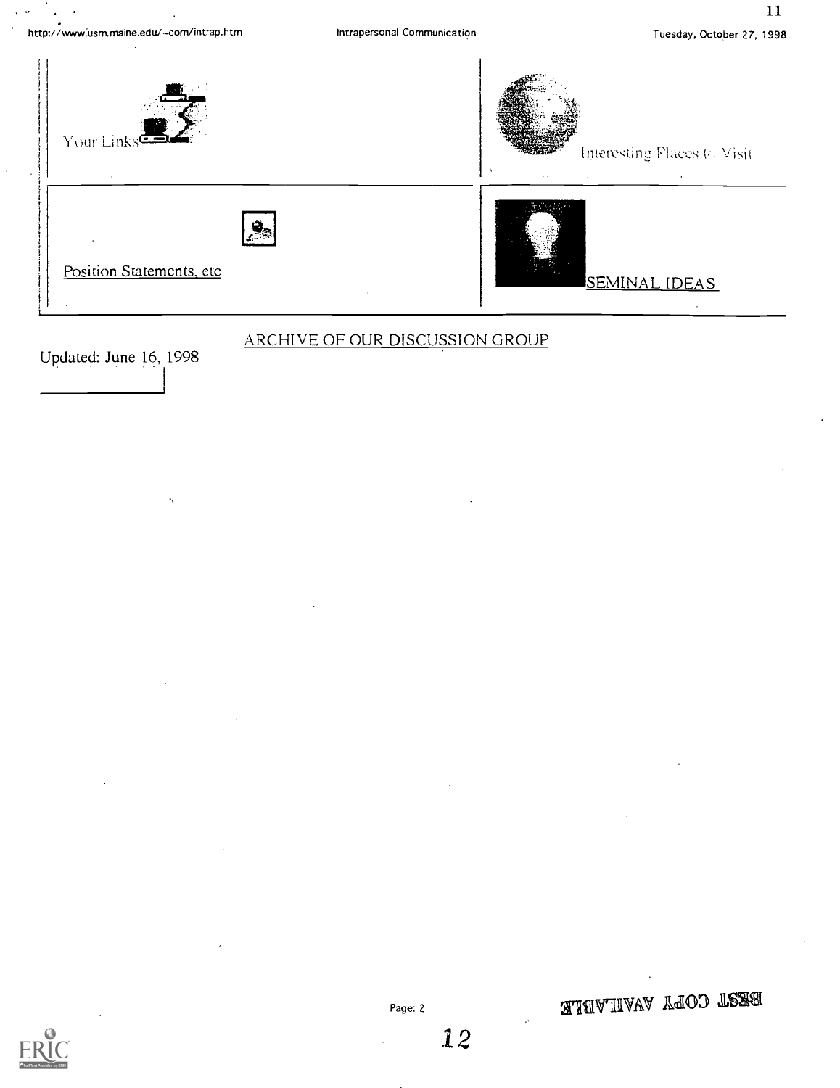http://www:usm.maine.edu/com/intrap.htm

11



Updated: June 16, 1998

## ARCHIVE OF OUR DISCUSSION GROUP

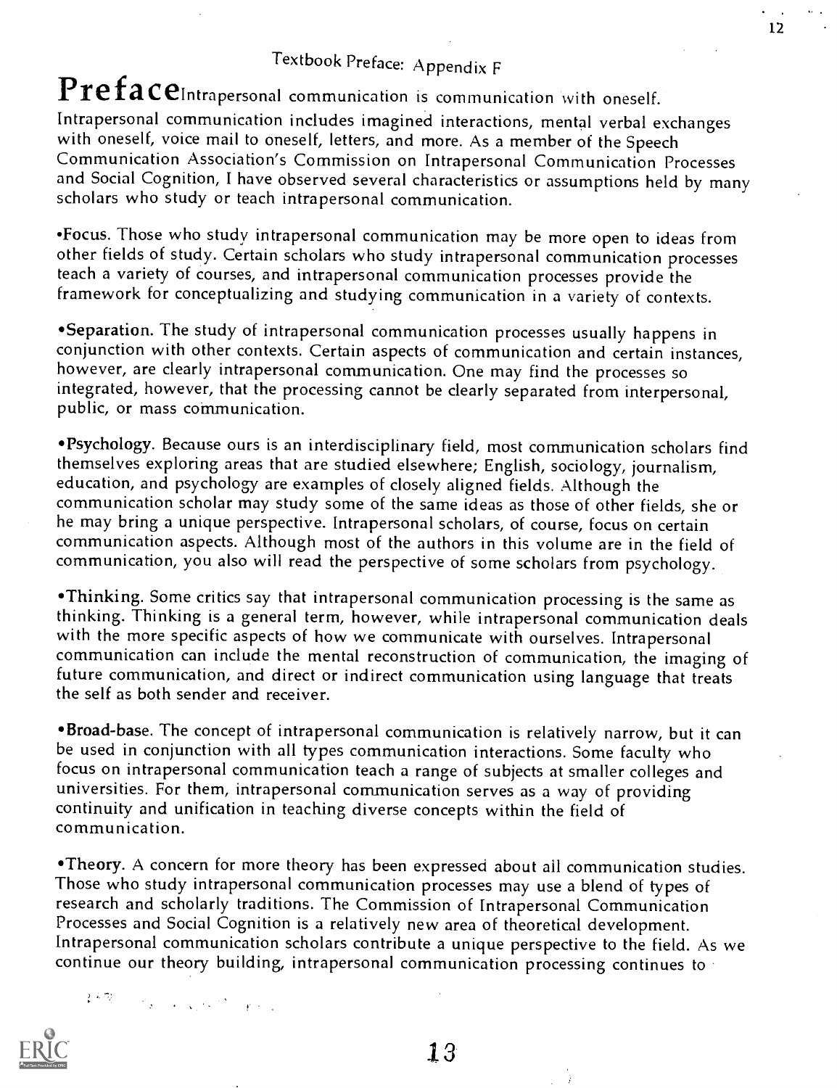# Textbook Preface: Appendix F

# PrefaceIntrapersonal communication is communication with oneself.

Intrapersonal communication includes imagined interactions, mental verbal exchanges with oneself, voice mail to oneself, letters, and more. As a member of the Speech Communication Association's Commission on Intrapersonal Communication Processes and Social Cognition, I have observed several characteristics or assumptions held by many scholars who study or teach intrapersonal communication.

'Focus. Those who study intrapersonal communication may be more open to ideas from other fields of study. Certain scholars who study intrapersonal communication processes teach a variety of courses, and intrapersonal communication processes provide the framework for conceptualizing and studying communication in a variety of contexts.

Separation. The study of intrapersonal communication processes usually happens in conjunction with other contexts. Certain aspects of communication and certain instances, however, are clearly intrapersonal communication. One may find the processes so integrated, however, that the processing cannot be clearly separated from interpersonal, public, or mass communication.

Psychology. Because ours is an interdisciplinary field, most communication scholars find themselves exploring areas that are studied elsewhere; English, sociology, journalism, education, and psychology are examples of closely aligned fields. Although the communication scholar may study some of the same ideas as those of other fields, she or he may bring a unique perspective. Intrapersonal scholars, of course, focus on certain communication aspects. Although most of the authors in this volume are in the field of communication, you also will read the perspective of some scholars from psychology.

Thinking. Some critics say that intrapersonal communication processing is the same as thinking. Thinking is a general term, however, while intrapersonal communication deals with the more specific aspects of how we communicate with ourselves. Intrapersonal communication can include the mental reconstruction of communication, the imaging of future communication, and direct or indirect communication using language that treats the self as both sender and receiver.

Broad-base. The concept of intrapersonal communication is relatively narrow, but it can be used in conjunction with all types communication interactions. Some faculty who focus on intrapersonal communication teach a range of subjects at smaller colleges and universities. For them, intrapersonal communication serves as a way of providing continuity and unification in teaching diverse concepts within the field of communication.

\*Theory. A concern for more theory has been expressed about ail communication studies. Those who study intrapersonal communication processes may use a blend of types of research and scholarly traditions. The Commission of Intrapersonal Communication Processes and Social Cognition is a relatively new area of theoretical development. Intrapersonal communication scholars contribute a unique perspective to the field. As we continue our theory building, intrapersonal communication processing continues to

 $\mathcal{E} \in \mathbb{Z}^n$ The Constant of Constant

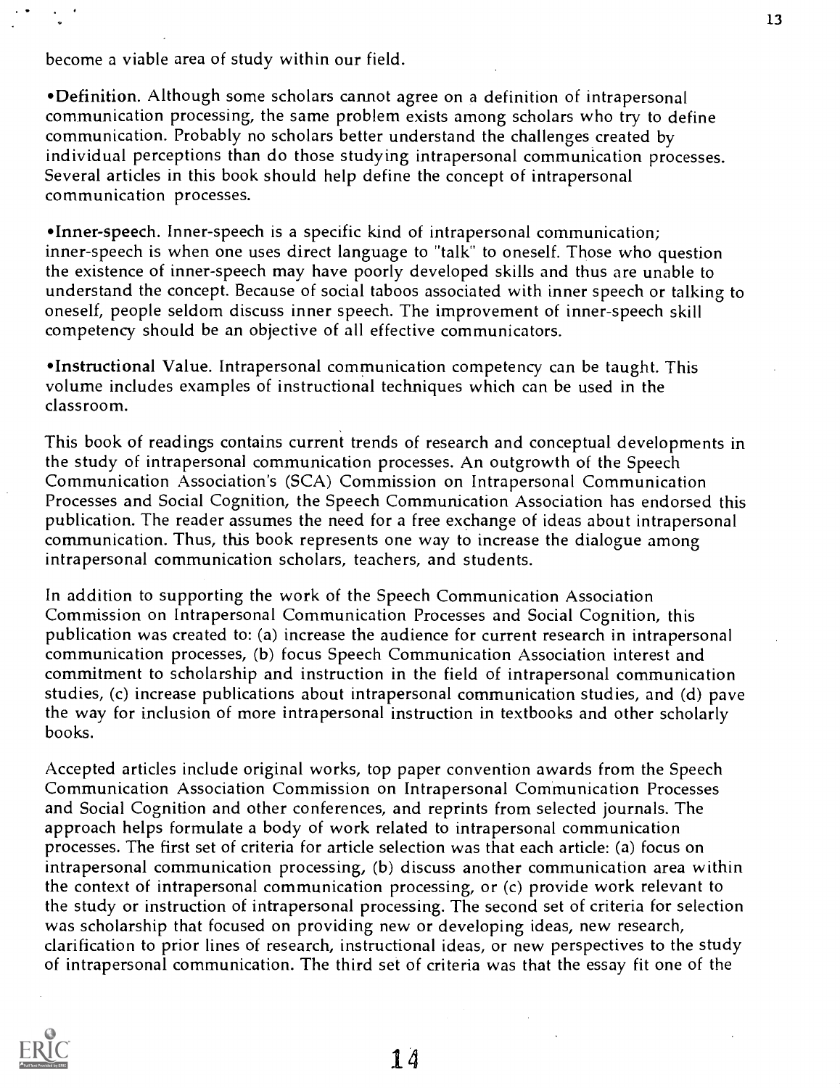become a viable area of study within our field.

Definition. Although some scholars cannot agree on a definition of intrapersonal communication processing, the same problem exists among scholars who try to define communication. Probably no scholars better understand the challenges created by individual perceptions than do those studying intrapersonal communication processes. Several articles in this book should help define the concept of intrapersonal communication processes.

•Inner-speech. Inner-speech is a specific kind of intrapersonal communication; inner-speech is when one uses direct language to "talk" to oneself. Those who question the existence of inner-speech may have poorly developed skills and thus are unable to understand the concept. Because of social taboos associated with inner speech or talking to oneself, people seldom discuss inner speech. The improvement of inner-speech skill competency should be an objective of all effective communicators.

'Instructional Value. Intrapersonal communication competency can be taught. This volume includes examples of instructional techniques which can be used in the classroom.

This book of readings contains current trends of research and conceptual developments in the study of intrapersonal communication processes. An outgrowth of the Speech Communication Association's (SCA) Commission on Intrapersonal Communication Processes and Social Cognition, the Speech Communication Association has endorsed this publication. The reader assumes the need for a free exchange of ideas about intrapersonal communication. Thus, this book represents one way to increase the dialogue among intrapersonal communication scholars, teachers, and students.

In addition to supporting the work of the Speech Communication Association Commission on Intrapersonal Communication Processes and Social Cognition, this publication was created to: (a) increase the audience for current research in intrapersonal communication processes, (b) focus Speech Communication Association interest and commitment to scholarship and instruction in the field of intrapersonal communication studies, (c) increase publications about intrapersonal communication studies, and (d) pave the way for inclusion of more intrapersonal instruction in textbooks and other scholarly books.

Accepted articles include original works, top paper convention awards from the Speech Communication Association Commission on Intrapersonal Communication Processes and Social Cognition and other conferences, and reprints from selected journals. The approach helps formulate a body of work related to intrapersonal communication processes. The first set of criteria for article selection was that each article: (a) focus on intrapersonal communication processing, (b) discuss another communication area within the context of intrapersonal communication processing, or (c) provide work relevant to the study or instruction of intrapersonal processing. The second set of criteria for selection was scholarship that focused on providing new or developing ideas, new research, clarification to prior lines of research, instructional ideas, or new perspectives to the study of intrapersonal communication. The third set of criteria was that the essay fit one of the

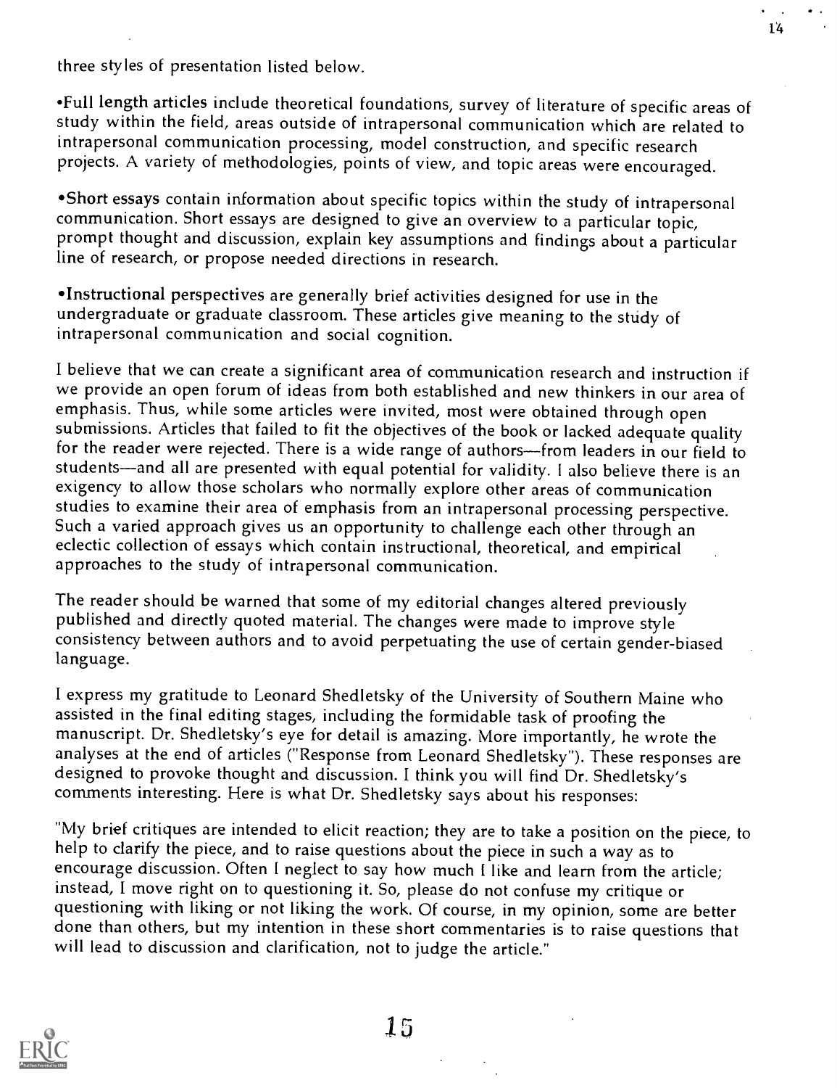three styles of presentation listed below.

•Full length articles include theoretical foundations, survey of literature of specific areas of<br>study within the field, areas outside of intrapersonal communication which are related to intrapersonal communication processing, model construction, and specific research projects. A variety of methodologies, points of view, and topic areas were encouraged.

Short essays contain information about specific topics within the study of intrapersonal communication. Short essays are designed to give an overview to a particular topic, prompt thought and discussion, explain key assumptions and findings about a particular line of research, or propose needed directions in research.

\*Instructional perspectives are generally brief activities designed for use in the undergraduate or graduate classroom. These articles give meaning to the study of intrapersonal communication and social cognition.

I believe that we can create a significant area of communication research and instruction if we provide an open forum of ideas from both established and new thinkers in our area of emphasis. Thus, while some articles were invited, most were obtained through open submissions. Articles that failed to fit the objectives of the book or lacked adequate quality for the reader were rejected. There is a wide range of authors-from leaders in our field to students—and all are presented with equal potential for validity. I also believe there is an exigency to allow those scholars who normally explore other areas of communication<br>studies to examine their area of emphasis from an intrapersonal processing perspective. Such a varied approach gives us an opportunity to challenge each other through an eclectic collection of essays which contain instructional, theoretical, and empirical approaches to the study of intrapersonal communication.

The reader should be warned that some of my editorial changes altered previously published and directly quoted material. The changes were made to improve style consistency between authors and to avoid perpetuating the use of certain gender-biased language.

I express my gratitude to Leonard Shedletsky of the University of Southern Maine who assisted in the final editing stages, including the formidable task of proofing the manuscript. Dr. Shedletsky's eye for detail is amazing. More importantly, he wrote the analyses at the end of articles ("Response from Leonard Shedletsky"). These responses are designed to provoke thought and discussion. I think you will find Dr. Shedletsky's comments interesting. Here is what Dr. Shedletsky says about his responses:

"My brief critiques are intended to elicit reaction; they are to take a position on the piece, to help to clarify the piece, and to raise questions about the piece in such a way as to encourage discussion. Often I neglect to say how much I like and learn from the article; instead, I move right on to questioning it. So, please do not confuse my critique or done than others, but my intention in these short commentaries is to raise questions that will lead to discussion and clarification, not to judge the article."



 $15\,$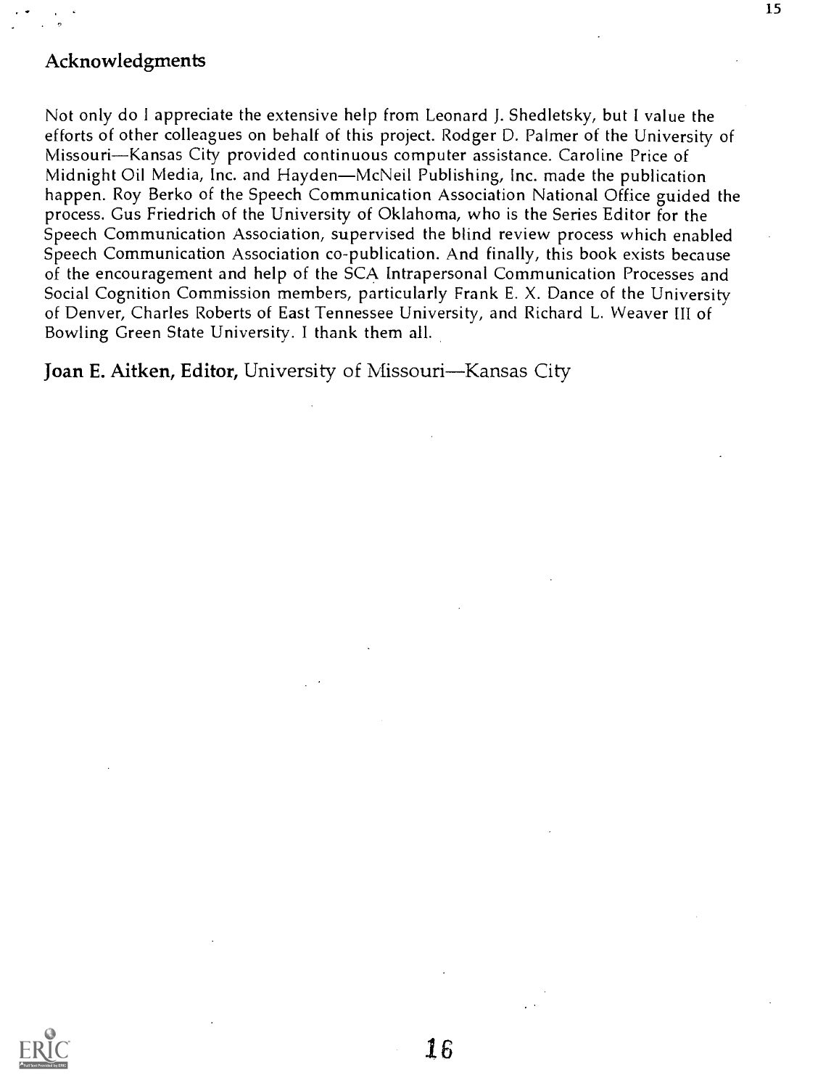## Acknowledgments

Not only do I appreciate the extensive help from Leonard J. Shedletsky, but I value the efforts of other colleagues on behalf of this project. Rodger D. Palmer of the University of Missouri-Kansas City provided continuous computer assistance. Caroline Price of Midnight Oil Media, Inc. and Hayden—McNeil Publishing, Inc. made the publication happen. Roy Berko of the Speech Communication Association National Office guided the process. Gus Friedrich of the University of Oklahoma, who is the Series Editor for the Speech Communication Association, supervised the blind review process which enabled Speech Communication Association co-publication. And finally, this book exists because of the encouragement and help of the SCA Intrapersonal Communication Processes and Social Cognition Commission members, particularly Frank E. X. Dance of the University of Denver, Charles Roberts of East Tennessee University, and Richard L. Weaver III of Bowling Green State University. I thank them all.

Joan E. Aitken, Editor, University of Missouri-Kansas City

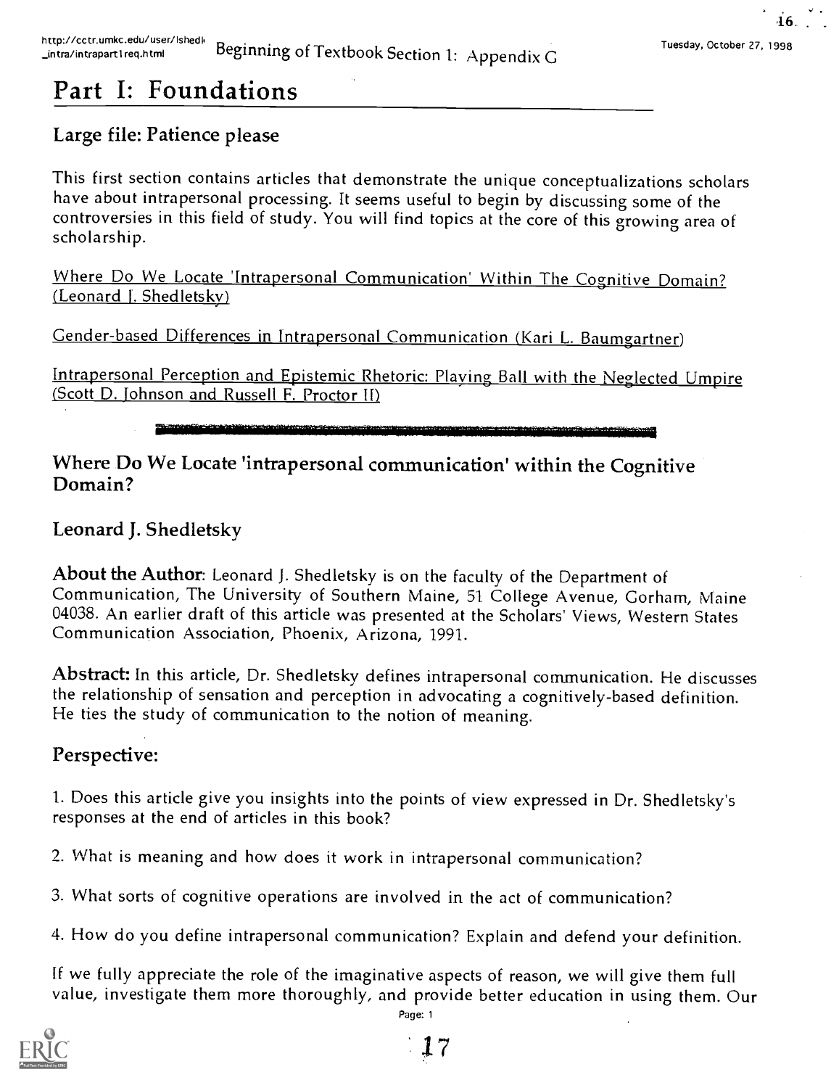# Part I: Foundations

# Large file: Patience please

This first section contains articles that demonstrate the unique conceptualizations scholars have about intrapersonal processing. It seems useful to begin by discussing some of the controversies in this field of study. You will find topics at the core of this growing area of scholarship.

Where Do We Locate 'Intrapersonal Communication' Within The Cognitive Domain? (Leonard J. Shedletsky)

Gender-based Differences in lntrapersonal Communication (Kari L. Baumgartner)

Intrapersonal Perception and Epistemic Rhetoric: Playing Ball with the Neglected Umpire (Scott D. Johnson and Russell F. Proctor II)

# Where Do We Locate 'intrapersonal communication' within the Cognitive Domain?

# Leonard J. Shedletsky

About the Author: Leonard J. Shedletsky is on the faculty of the Department of Communication, The University of Southern Maine, 51 College Avenue, Gorham, Maine 04038. An earlier draft of this article was presented at the Scholars' Views, Western States Communication Association, Phoenix, Arizona, 1991.

Abstract: In this article, Dr. Shedletsky defines intrapersonal communication. He discusses the relationship of sensation and perception in advocating a cognitively-based definition. He ties the study of communication to the notion of meaning.

# Perspective:

1. Does this article give you insights into the points of view expressed in Dr. Shedletsky's responses at the end of articles in this book?

2. What is meaning and how does it work in intrapersonal communication?

- 3. What sorts of cognitive operations are involved in the act of communication?
- 4. How do you define intrapersonal communication? Explain and defend your definition.

If we fully appreciate the role of the imaginative aspects of reason, we will give them full value, investigate them more thoroughly, and provide better education in using them. Our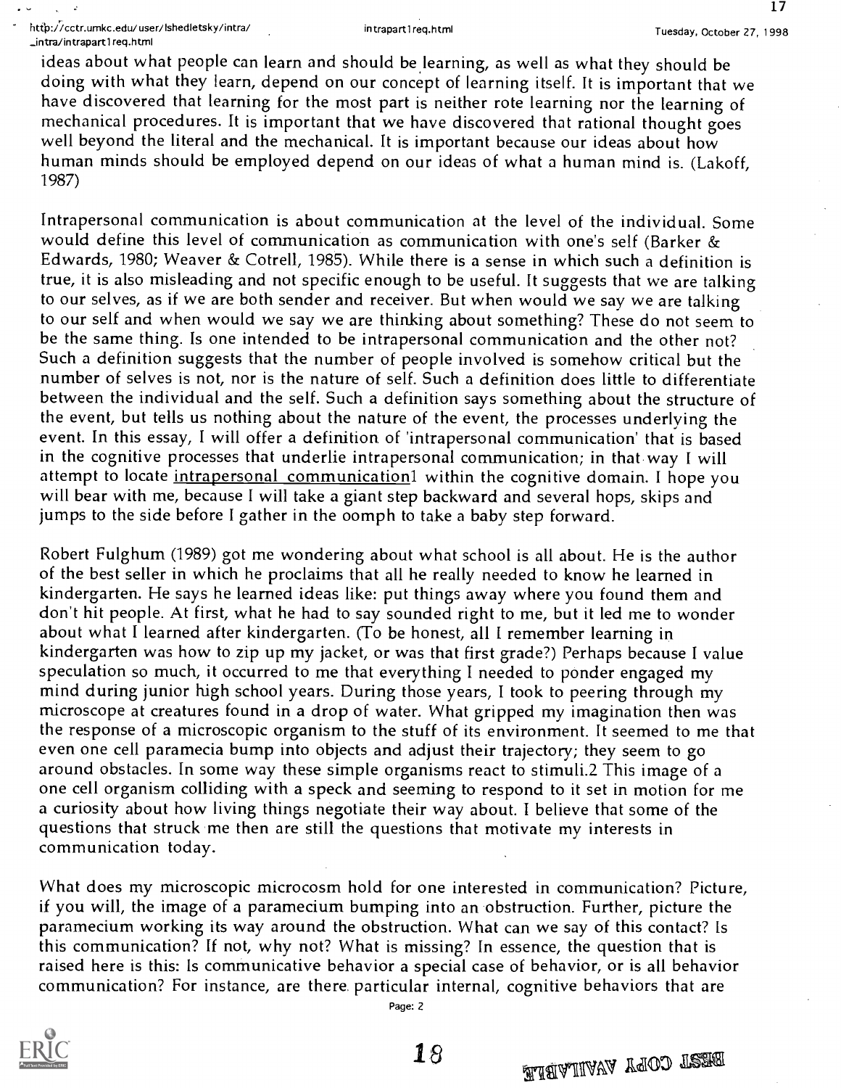17

ideas about what people can learn and should be learning, as well as what they should be doing with what they learn, depend on our concept of learning itself. It is important that we have discovered that learning for the most part is neither rote learning nor the learning of mechanical procedures. It is important that we have discovered that rational thought goes well beyond the literal and the mechanical. It is important because our ideas about how human minds should be employed depend on our ideas of what a human mind is. (Lakoff, 1987)

Intrapersonal communication is about communication at the level of the individual. Some would define this level of communication as communication with one's self (Barker & Edwards, 1980; Weaver & Cotrell, 1985). While there is a sense in which such a definition is true, it is also misleading and not specific enough to be useful. It suggests that we are talking to our selves, as if we are both sender and receiver. But when would we say we are talking to our self and when would we say we are thinking about something? These do not seem to be the same thing. Is one intended to be intrapersonal communication and the other not? Such a definition suggests that the number of people involved is somehow critical but the number of selves is not, nor is the nature of self. Such a definition does little to differentiate between the individual and the self. Such a definition says something about the structure of the event, but tells us nothing about the nature of the event, the processes underlying the event. In this essay, I will offer a definition of 'intrapersonal communication' that is based in the cognitive processes that underlie intrapersonal communication; in that way I will attempt to locate intrapersonal communication1 within the cognitive domain. I hope you will bear with me, because I will take a giant step backward and several hops, skips and jumps to the side before I gather in the oomph to take a baby step forward.

Robert Fulghum (1989) got me wondering about what school is all about. He is the author of the best seller in which he proclaims that all he really needed to know he learned in kindergarten. He says he learned ideas like: put things away where you found them and don't hit people. At first, what he had to say sounded right to me, but it led me to wonder about what I learned after kindergarten. (To be honest, all I remember learning in kindergarten was how to zip up my jacket, or was that first grade?) Perhaps because I value speculation so much, it occurred to me that everything I needed to ponder engaged my mind during junior high school years. During those years, I took to peering through my microscope at creatures found in a drop of water. What gripped my imagination then was the response of a microscopic organism to the stuff of its environment. It seemed to me that even one cell paramecia bump into objects and adjust their trajectory; they seem to go around obstacles. In some way these simple organisms react to stimuli.2 This image of a one cell organism colliding with a speck and seeming to respond to it set in motion for me a curiosity about how living things negotiate their way about. I believe that some of the questions that struck me then are still the questions that motivate my interests in communication today.

What does my microscopic microcosm hold for one interested in communication? Picture, if you will, the image of a paramecium bumping into an obstruction. Further, picture the paramecium working its way around the obstruction. What can we say of this contact? Is this communication? If not, why not? What is missing? In essence, the question that is raised here is this: Is communicative behavior a special case of behavior, or is all behavior communication? For instance, are there. particular internal, cognitive behaviors that are

Page: 2

 $18$ HAJIIAVA YAOO TEEKA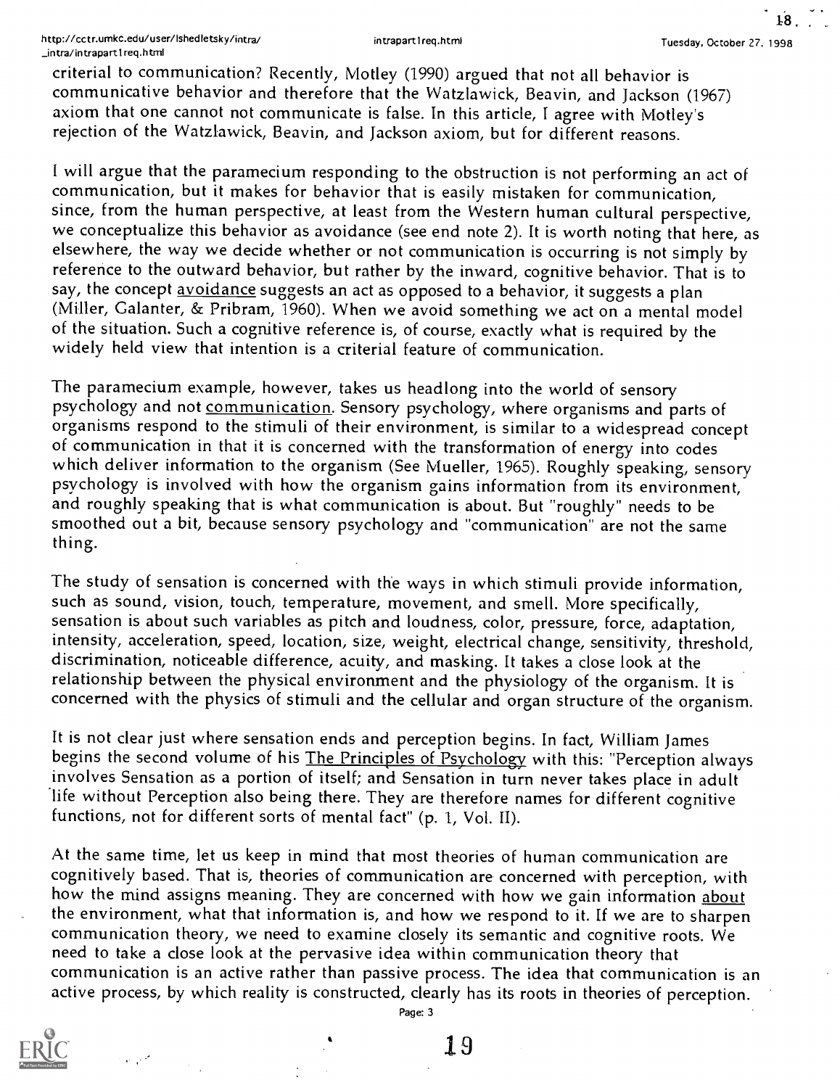18

criterial to communication? Recently, Motley (1990) argued that not all behavior is communicative behavior and therefore that the Watzlawick, Beavin, and Jackson (1967) axiom that one cannot not communicate is false. In this article, I agree with Motley's rejection of the Watzlawick, Beavin, and Jackson axiom, but for different reasons.

I will argue that the paramecium responding to the obstruction is not performing an act of communication, but it makes for behavior that is easily mistaken for communication, since, from the human perspective, at least from the Western human cultural perspective, we conceptualize this behavior as avoidance (see end note 2). It is worth noting that here, as elsewhere, the way we decide whether or not communication is occurring is not simply by reference to the outward behavior, but rather by the inward, cognitive behavior. That is to say, the concept avoidance suggests an act as opposed to a behavior, it suggests a plan (Miller, Galanter, & Pribram, 1960). When we avoid something we act on a mental model of the situation. Such a cognitive reference is, of course, exactly what is required by the widely held view that intention is a criterial feature of communication.

The paramecium example, however, takes us headlong into the world of sensory psychology and not communication. Sensory psychology, where organisms and parts of organisms respond to the stimuli of their environment, is similar to a widespread concept<br>of communication in that it is concerned with the transformation of energy into codes<br>which deliver information to the organism (Se psychology is involved with how the organism gains information from its environment, and roughly speaking that is what communication is about. But "roughly" needs to be smoothed out a bit, because sensory psychology and "communication" are not the same thing.

The study of sensation is concerned with the ways in which stimuli provide information, such as sound, vision, touch, temperature, movement, and smell. More specifically, sensation is about such variables as pitch and loudness, color, pressure, force, adaptation, intensity, acceleration, speed, location, size, weight, electrical change, sensitivity, threshold, discrimination, noticeable difference, acuity, and masking. It takes a close look at the relationship between the physical environment and the physiology of the organism. It is concerned with the physics of stimuli and the cellular and organ structure of the organism.

It is not clear just where sensation ends and perception begins. In fact, William James begins the second volume of his The Principles of Psychology with this: "Perception always involves Sensation as a portion of itself; and Sensation in turn never takes place in adult 'life without Perception also being there. They are therefore names for different cognitive functions, not for different sorts of mental fact" (p. 1, Vol. II).

At the same time, let us keep in mind that most theories of human communication are cognitively based. That is, theories of communication are concerned with perception, with how the mind assigns meaning. They are concerned with how we gain information about the environment, what that information is, and how we respond to it. If we are to sharpen communication theory, we need to examine closely its semantic and cognitive roots. We need to take a close look at the pervasive idea within communication theory that communication is an active rather than passive process. The idea that communication is an active process, by which reality is constructed, clearly has its roots in theories of perception.



 $\omega_{\rm eff}$  ,  $\omega_{\rm eff}$ 

Page: 3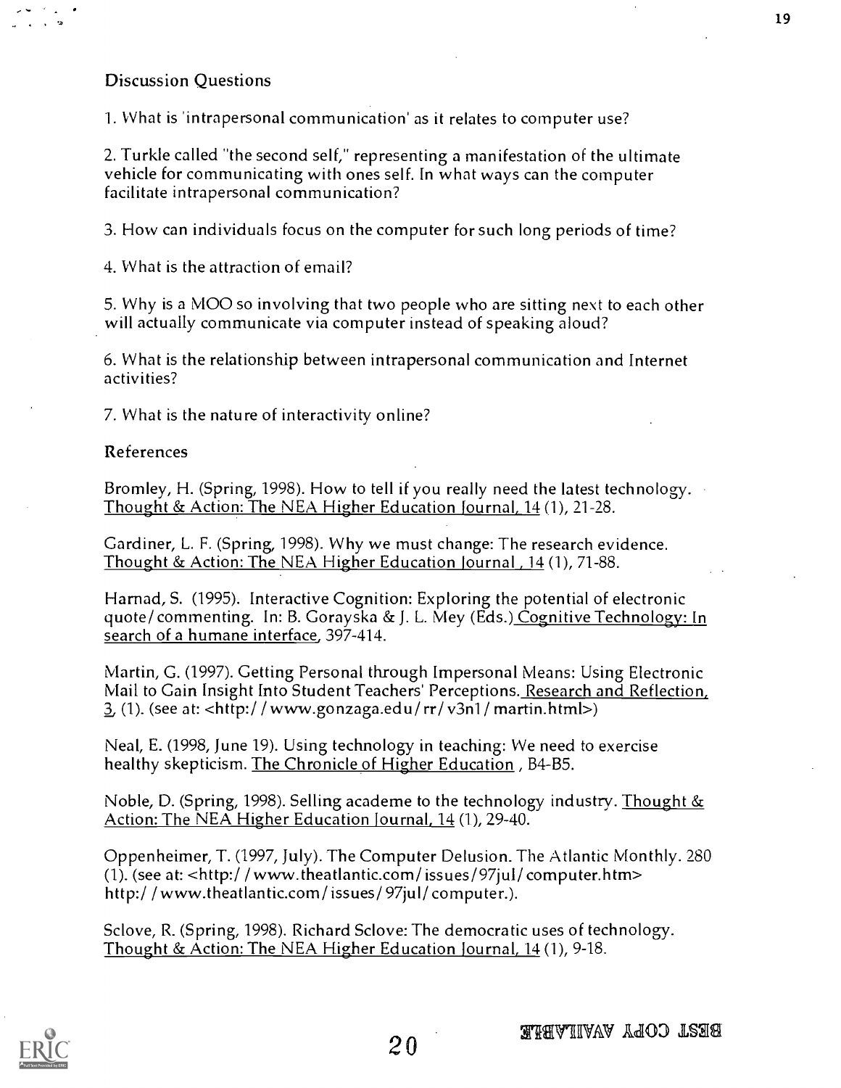## Discussion Questions

I. What is 'intrapersonal communication' as it relates to computer use?

2. Turkle called "the second self," representing a manifestation of the ultimate vehicle for communicating with ones self. In what ways can the computer facilitate intrapersonal communication?

3. How can individuals focus on the computer for such long periods of time?

4. What is the attraction of email?

5. Why is a MOO so involving that two people who are sitting next to each other will actually communicate via computer instead of speaking aloud?

6. What is the relationship between intrapersonal communication and Internet activities?

7. What is the nature of interactivity online?

#### References

Bromley, H. (Spring, 1998). How to tell if you really need the latest technology. Thought & Action: The NEA Higher Education Journal, 14(1), 21-28.

Gardiner, L. F. (Spring, 1998). Why we must change: The research evidence. Thought & Action: The NEA Higher Education Journal, 14 (1), 71-88.

Harnad, S. (1995). Interactive Cognition: Exploring the potential of electronic quote/ commenting. In: B. Gorayska & J. L. Mey (Eds.) Cognitive Technology: In search of a humane interface, 397-414.

Martin, G. (1997). Getting Personal through Impersonal Means: Using Electronic Mail to Gain Insight Into Student Teachers' Perceptions. Research and Reflection, 3 (1). (see at: <http:/ / www.gonzaga.edu/ rr/ v3n1 / martin.html>)

Neal, E. (1998, June 19). Using technology in teaching: We need to exercise healthy skepticism. The Chronicle of Higher Education , B4-B5.

Noble, D. (Spring, 1998). Selling academe to the technology industry. Thought  $&$ Action: The NEA Higher Education Journal, 14 (1), 29-40.

Oppenheimer, T. (1997, July). The Computer Delusion. The Atlantic Monthly. 280 (1). (see at:  $\langle$ http://www.theatlantic.com/issues/97jul/computer.htm> http:/ /www.theatlantic.com/ issues/ 97jul/ computer.).

Sclove, R. (Spring, 1998). Richard Sclove: The democratic uses of technology. Thought & Action: The NEA Higher Education Journal, 14 (1), 9-18.

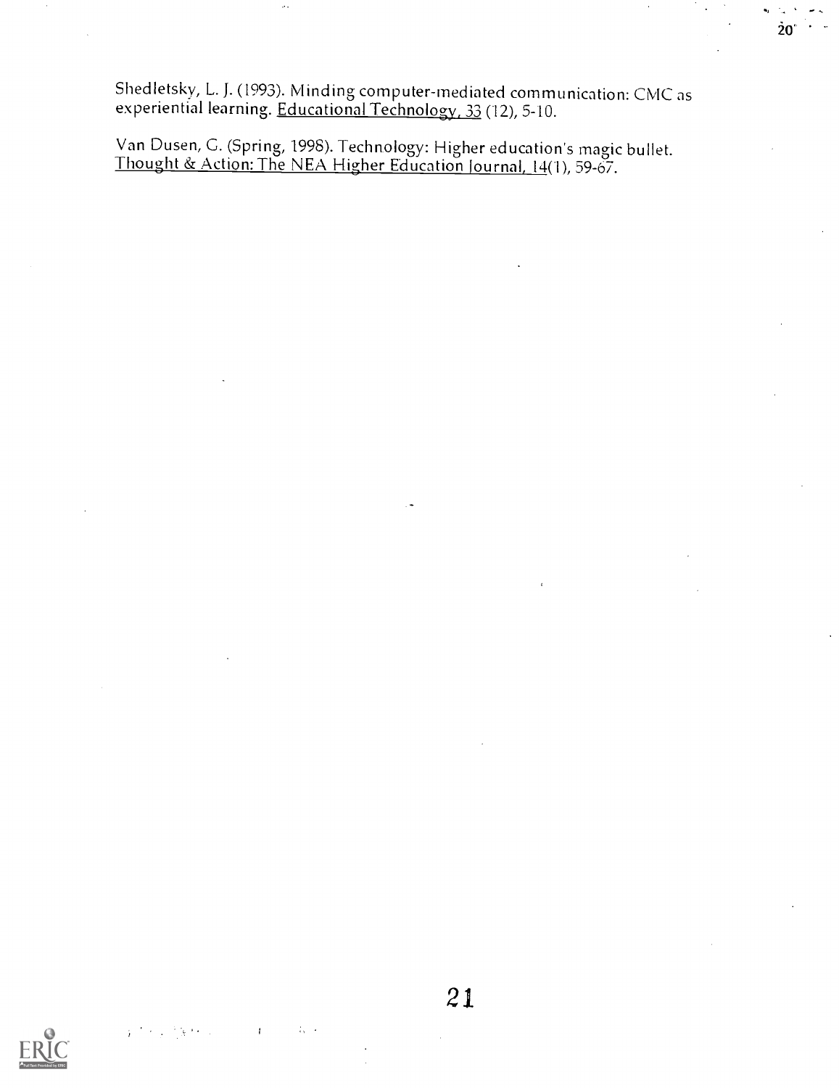Shedletsky, L. J. (1993). Minding computer-mediated communication: CMC as experiential learning. <u>Educational Technology, 33</u> (12), 5-10.

 $\mathcal{L}_{\mathcal{A}}$ 

Van Dusen, G. (Spring, 1998). Technology: Higher education's magic bullet. Thought & Action: The NEA Higher Education Journal, 14(1), 59-67.